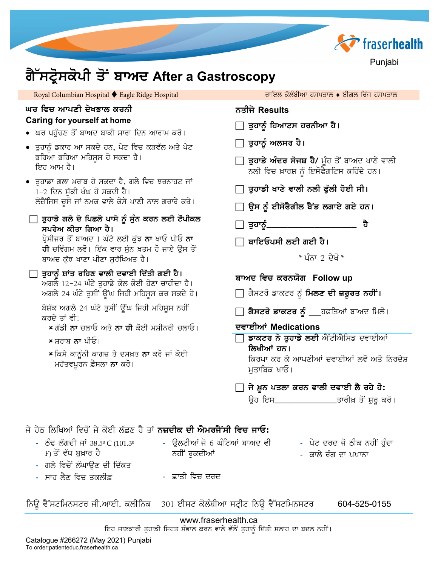

|  | 'uniapi |  |
|--|---------|--|
|  |         |  |

# ਗੈੱਸਟ੍ਰੋਸਕੋਪੀ ਤੋਂ ਬਾਅਦ After a Gastroscopy

Royal Columbian Hospital ♦ Eagle Ridge Hospital

### ਘਰ ਵਿਚ ਆਪਣੀ ਦੇਖਭਾਲ ਕਰਨੀ **Caring for yourself at home**

- ਘਰ ਪਹੁੰਚਣ ਤੋਂ ਬਾਅਦ ਬਾਕੀ ਸਾਰਾ ਦਿਨ ਆਰਾਮ ਕਰੋ।
- ਤੁਹਾਨੂੰ ਡਕਾਰ ਆ ਸਕਦੇ ਹਨ, ਪੇਟ ਵਿਚ ਕੜਵੱਲ ਅਤੇ ਪੇਟ ਭਰਿਆ ਭਰਿਆ ਮਹਿਸੂਸ ਹੋ ਸਕਦਾ ਹੈ। ਇਹ ਆਮ ਹੈ।
- ਤਹਾਡਾ ਗਲਾ ਖ਼ਰਾਬ ਹੋ ਸਕਦਾ ਹੈ, ਗਲੇ ਵਿਚ ਝਰਨਾਹਟ ਜਾਂ 1−2 ਦਿਨ ਸੁੱਕੀ ਖੰਘ ਹੋ ਸਕਦੀ ਹੈ। ਲੋਜ਼ੈਂਜਿਸ ਚਸੋ ਜਾਂ ਨਮਕ ਵਾਲੇ ਕੋਸੇ ਪਾਣੀ ਨਾਲ ਗਰਾਰੇ ਕਰੋ।
- $\Box$  ਤੁਹਾਡੇ ਗਲੇ ਦੇ ਪਿਛਲੇ ਪਾਸੇ ਨੂੰ ਸੁੰਨ ਕਰਨ ਲਈ ਟੌਪੀਕਲ ਸਪਰੇਅ ਕੀਤਾ ਗਿਆ **ਹੈ**। ਪ੍ਰੋਸੀਜਰ ਤੋਂ ਬਾਅਦ 1 ਘੰਟੇ ਲਈ ਕੱਝ **ਨਾ** ਖਾਓ ਪੀਓ **ਨਾ ਹੀ** ਚਵਿੰਗਮ ਲਵੋ। ਇੱਕ ਵਾਰ ਸੁੰਨ ਖ਼ਤਮ ਹੋ ਜਾਏ ਉਸ ਤੋਂ

ਬਾਅਦ ਕੁੱਝ ਖਾਣਾ ਪੀਣਾ ਸੁਰੱਖਿਅਤ ਹੈ।

#### ြ ਤੁਹਾਨੂੰ ਸ਼ਾਂਤ ਰਹਿਣ ਵਾਲੀ ਦਵਾਈ ਦਿੱਤੀ ਗਈ ਹੈ। ਅਗਲੇ 12-24 ਘੰਟੇ ਤਹਾਡੇ ਕੋਲ ਕੋਈ ਹੋਣਾ ਚਾਹੀਦਾ ਹੈ।

ਅਗਲੇ 24 ਘੰਟੇ ਤੁਸੀਂ ਉਂਘ ਜਿਹੀ ਮਹਿਸੂਸ ਕਰ ਸਕਦੇ ਹੋ।

ਬੇਸ਼ੱਕ ਅਗਲੇ 24 ਘੰਟੇ ਤੁਸੀਂ ਉਂਘ ਜਿਹੀ ਮਹਿਸੂਸ ਨਹੀਂ ਕਰਦੇ ਤਾਂ ਵੀ

- ×ਗੱਡੀ ਨਾ ਚਲਾਓ ਅਤੇ ਨਾ ਹੀ ਕੋਈ ਮਸੀਨਰੀ ਚਲਾਓ।
- × ਸ਼ਰਾਬ **ਨਾ** ਪੀਓ।
- × ਕਿਸੇ ਕਾਨੂੰਨੀ ਕਾਗਜ਼ ਤੇ ਦਸਖ਼ਤ **ਨਾ** ਕਰੋ ਜਾਂ ਕੋਈ ਮਹੱਤਵਪੂਰਨ ਫ਼ੈਸਲਾ **ਨਾ** ਕਰੋ।

| ਨਤੀਜੇ Results                                                                                     |  |  |
|---------------------------------------------------------------------------------------------------|--|--|
| $\Box$ ਤੁਹਾਨੂੰ ਹਿਆਟਸ ਹਰਨੀਆ ਹੈ।                                                                    |  |  |
| $\Box$ ਤੁਹਾਨੂੰ ਅਲਸਰ ਹੈ।                                                                           |  |  |
| ∏ <b>ਤੁਹਾਡੇ ਅੰਦਰ ਸੋਜਸ਼ ਹੈ/</b> ਮੂੰਹ ਤੋਂ ਬਾਅਦ ਖਾਣੇ ਵਾਲੀ<br>ਨਲੀ ਵਿਚ ਖ਼ਾਰਸ਼ ਨੂੰ ਇਸੋਫੈਗਟਿਸ ਕਹਿੰਦੇ ਹਨ। |  |  |
| $\Box$ ਤੁਹਾਡੀ ਖਾਣੇ ਵਾਲੀ ਨਲੀ ਫੁੱਲੀ ਹੋਈ ਸੀ।                                                         |  |  |
| $\Box$ ਉਸ ਨੂੰ ਈਸੋਫੈਗੀਲ ਬੈਂਡ ਲਗਾਏ ਗਏ ਹਨ।                                                           |  |  |
| ਹੈ<br>$\Box$ ਤੁਹਾਨੂੰ____                                                                          |  |  |
| ⊟ ਬਾਇਓਪਸੀ ਲਈ ਗਈ ਹੈ।                                                                               |  |  |
| * ਪੰਨਾ ? ਦੇਖੋ *                                                                                   |  |  |
| ਬਾਅਦ ਵਿਚ ਕਰਨਯੋਗ  Follow up                                                                        |  |  |
| $\Box$ ਗੈਸਟਰੋ ਡਾਕਟਰ ਨੂੰ <b>ਮਿਲਣ ਦੀ ਜ਼ਰੂਰਤ ਨਹੀਂ।</b>                                               |  |  |

ਰਾਇਲ ਕੋਲੰਬੀਆ ਹਸਪਤਾਲ ♦ ਈਗਲ ਰਿੱਜ ਹਸਪਤਾਲ

∏ **ਗੈਸਟਰੋ ਡਾਕਟਰ ਨੂੰ \_\_** ਹਫ਼ਤਿਆਂ ਬਾਅਦ ਮਿਲੋ।

### ਦਵਾਈਆਂ Medications

- <mark>ਡਾਕਟਰ ਨੇ ਤਹਾਡੇ ਲਈ</mark> ਐਂਟੀਐਸਿਡ ਦਵਾਈਆਂ ਲਿਖੀਆਂ ਹਨ। ਕਿਰਪਾ ਕਰ ਕੇ ਆਪਣੀਆਂ ਦਵਾਈਆਂ ਲਵੋ ਅਤੇ ਨਿਰਦੇਸ਼ ਮਤਾਬਿਕ ਖਾਓ।
- $\Box$  ਜੇ ਖ਼ੁਨ ਪਤਲਾ ਕਰਨ ਵਾਲੀ ਦਵਾਈ ਲੈ ਰਹੇ ਹੋ:

ਉਹ ਇਸ\_\_ \_ਤਾਰੀਖ਼ ਤੋਂ ਸ਼ੁਰੂ ਕਰੋ।

# ਜੇ ਹੇਠ ਲਿਖਿਆਂ ਵਿਚੋਂ ਜੇ ਕੋਈ ਲੱਛਣ ਹੈ ਤਾਂ **ਨਜ਼ਦੀਕ ਦੀ ਐਮਰਜੈਂਸੀ ਵਿਚ ਜਾਓ:**

- ਠੰਢ ਲੱਗਦੀ ਜਾਂ 38.5º C (101.3º - ਉਲਟੀਆਂ ਜੋ 6 ਘੰਟਿਆਂ ਬਾਅਦ ਵੀ - ਪੇਟ ਦਰਦ ਜੋ ਠੀਕ ਨਹੀਂ ਹੁੰਦਾ F) ਤੋਂ ਵੱਧ ਬਖ਼ਾਰ ਹੈ ਨਹੀਂ ਰਕਦੀਆਂ - ਕਾਲੇ ਰੰਗ ਦਾ ਪਖਾਨਾ
- ਗਲੇ ਵਿਚੋਂ ਲੰਘਾੳਣ ਦੀ ਦਿੱਕਤ
- ਸਾਹ ਲੈਣ ਵਿਚ ਤਕਲੀਫ਼
- ਛਾਤੀ ਵਿਚ ਦਰਦ

ਨਿਊ ਵੈੱਸਟਮਿਨਸਟਰ ਜੀ.ਆਈ. ਕਲੀਨਿਕ 301 ਈਸਟ ਕੋਲੰਬੀਆ ਸਟ੍ਰੀਟ ਨਿਊ ਵੈੱਸਟਮਿਨਸਟਰ 604-525-0155

## www.fraserhealth.ca

ਇਹ ਜਾਣਕਾਰੀ ਤੁਹਾਡੀ ਸਿਹਤ ਸੰਭਾਲ ਕਰਨ ਵਾਲੇ ਵੱਲੋਂ ਤੁਹਾਨੂੰ ਦਿੱਤੀ ਸਲਾਹ ਦਾ ਬਦਲ ਨਹੀਂ।